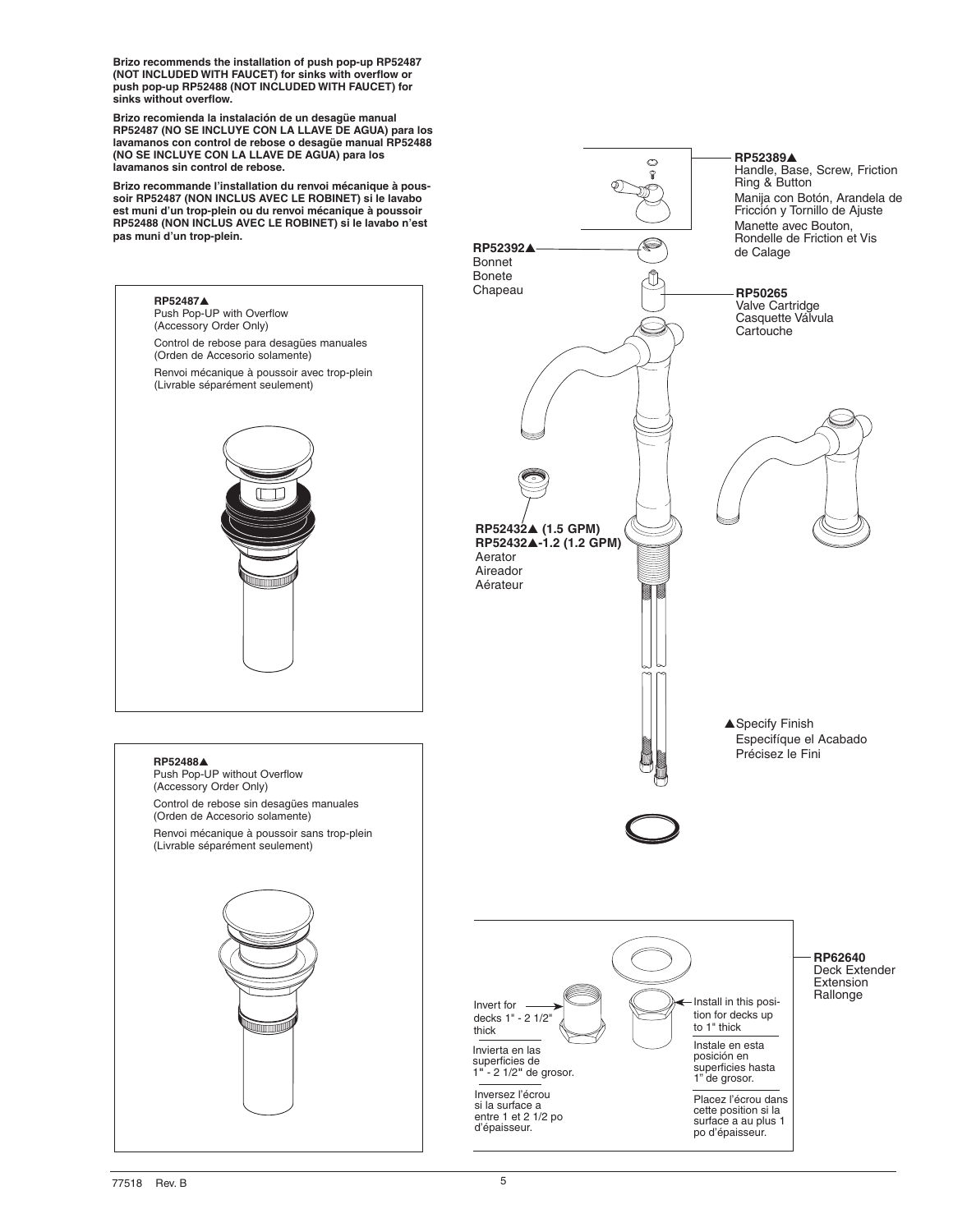**Brizo recommends the installation of push pop-up RP52487 (NOT INCLUDED WITH FAUCET) for sinks with overflow or push pop-up RP52488 (NOT INCLUDED WITH FAUCET) for sinks without overflow.**

**Brizo recomienda la instalación de un desagüe manual RP52487 (NO SE INCLUYE CON LA LLAVE DE AGUA) para los lavamanos con control de rebose o desagüe manual RP52488 (NO SE INCLUYE CON LA LLAVE DE AGUA) para los lavamanos sin control de rebose.**

**Brizo recommande l'installation du renvoi mécanique à poussoir RP52487 (NON INCLUS AVEC LE ROBINET) si le lavabo est muni d'un trop-plein ou du renvoi mécanique à poussoir RP52488 (NON INCLUS AVEC LE ROBINET) si le lavabo n'est pas muni d'un trop-plein.**



**RP52389**s

Ó କ

Ring & Button

Handle, Base, Screw, Friction

Manija con Botón, Arandela de Fricción y Tornillo de Ajuste Manette avec Bouton,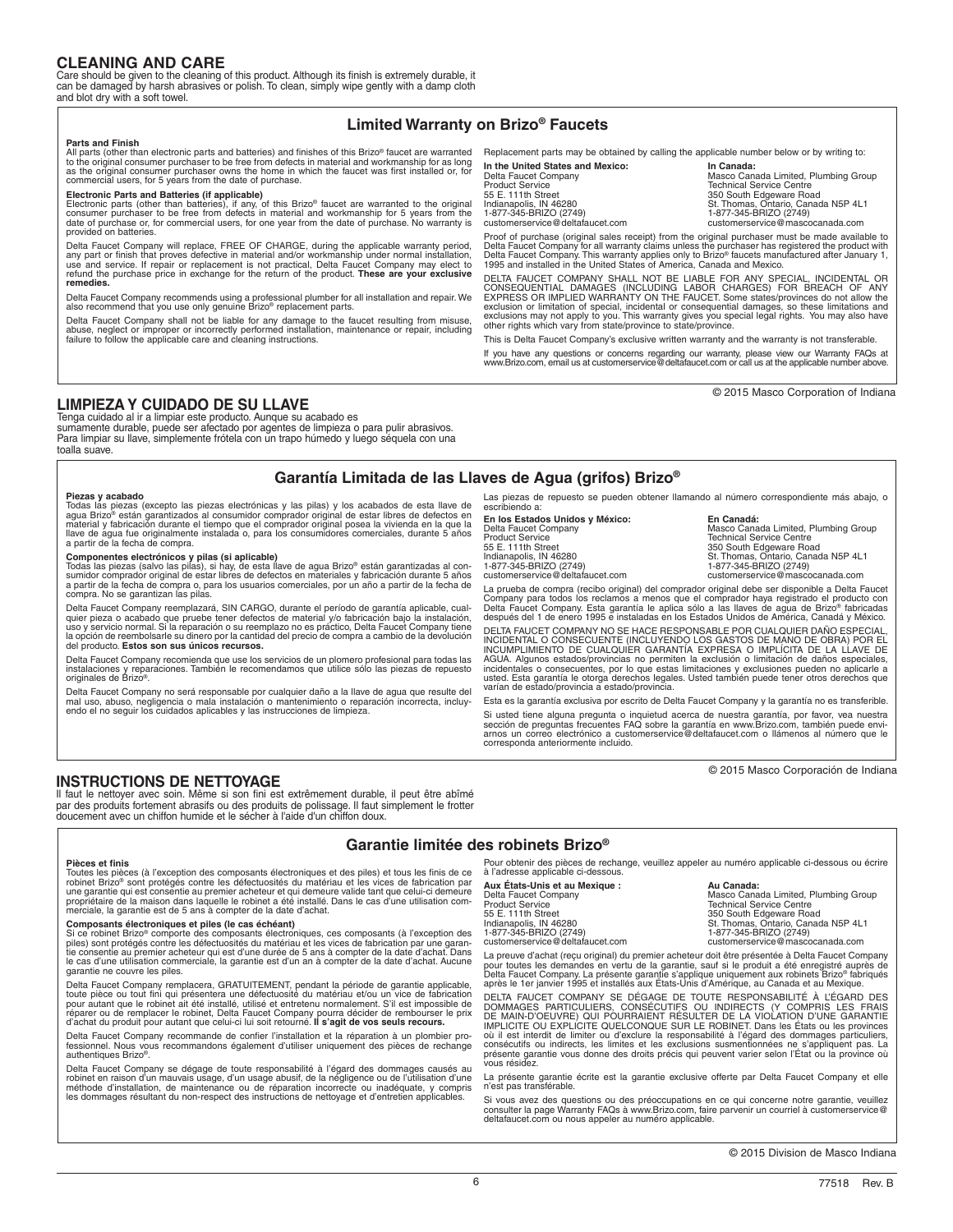# **CLEANING AND CARE**

Care should be given to the cleaning of this product. Although its finish is extremely durable, it can be damaged by harsh abrasives or polish. To clean, simply wipe gently with a damp cloth and blot dry with a soft towel.

# **Limited Warranty on Brizo® Faucets**

### **Parts and Finish**

All parts (other than electronic parts and batteries) and finishes of this Brizo® faucet are warranted to the original consumer purchaser to be free from defects in material and workmanship for as long<br>as the original consumer purchaser owns the home in which the faucet was first installed or, for<br>commercial users, for 5 ye

Electronic Parts and Batteries (if applicable)<br>Electronic parts (other than batteries), if any, of this Brizo® faucet are warranted to the original<br>consumer purchaser to be free from defects in material and workmanship for provided on batteries.

Delta Faucet Company will replace, FREE OF CHARGE, during the applicable warranty period, any part or finish that proves defective in material and/or workmanship under normal installation,<br>use and service. If repair or replacement is not practical, Delta Faucet Company may elect to<br>refund the purchase price in **remedies.** 

Delta Faucet Company recommends using a professional plumber for all installation and repair. We also recommend that you use only genuine Brizo® replacement parts.

Delta Faucet Company shall not be liable for any damage to the faucet resulting from misuse, abuse, neglect or improper or incorrectly performed installation, maintenance or repair, including failure to follow the applicable care and cleaning instructions.

Replacement parts may be obtained by calling the applicable number below or by writing to:

**In the United States and Mexico: In Canada:** Delta Faucet Company<br>
Delta Faucet Company<br>
Product Service Centre<br>
Technical Service Centre Product Service Technical Service Centre<br>
55 E. 111th Street<br>
55 E. 111th Street 55 E. 111th Street 350 South Edgeware Road Indianapolis, IN 46280 St. Thomas, Ontario, Canada N5P 4L1 1-877-345-BRIZO (2749) 1-877-345-BRIZO (2749) customerservice of the customerservice of the customerservice of the customerservice of the customerservice ma<br>
1-877-345-BRIZO (2749)<br>
1-877-345-BRIZO (2749)<br>
customerservice@mascocanada.com customerservice @mascocanada.c

Proof of purchase (original sales receipt) from the original purchaser must be made available to<br>Delta Faucet Company for all warranty claims unless the purchaser has registered the product with<br>Delta Faucet Company. This

DELTA FAUCET COMPANY SHALL NOT BE LIABLE FOR ANY SPECIAL, INCIDENTAL OR CONSEQUENTIAL DAMAGES (INCLUDING LABOR CHARGES) FOR BREACH OF ANY EXPRESS OR IMPLIED WARRANTY ON THE FAUCET. Some states/provinces do not allow the ex

This is Delta Faucet Company's exclusive written warranty and the warranty is not transferable.

If you have any questions or concerns regarding our warranty, please view our Warranty FAQs at www.Brizo.com, email us at customerservice@deltafaucet.com or call us at the applicable number above.

© 2015 Masco Corporation of Indiana

## **LIMPIEZA Y CUIDADO DE SU LLAVE**

Tenga cuidado al ir a limpiar este producto. Aunque su acabado es sumamente durable, puede ser afectado por agentes de limpieza o para pulir abrasivos. Para limpiar su llave, simplemente frótela con un trapo húmedo y luego séquela con una toalla suave.

# **Garantía Limitada de las Llaves de Agua (grifos) Brizo®**

**Piezas y acabado** Todas las piezas (excepto las piezas electrónicas y las pilas) y los acabados de esta llave de agua Brizo® están garantizados al consumidor comprador original de estar libres de defectos en<br>material y fabricación durante el tiempo que el comprador original posea la vivienda en la que la<br>llave de agua fue originalmen

**Componentes electrónicos y pilas (si aplicable)**<br>Todas las piezas (salvo las pilas), si hay, de esta llave de agua Brizo® están garantizadas al con-<br>sumidor comprador original de estar libres de defectos en materiales y f a partir de la fecha de compra o, para los usuarios comerciales, por un año a partir de la fecha de compra. No se garantizan las pilas.

Delta Faucet Company reemplazará, SIN CARGO, durante el período de garantía aplicable, cualquier pieza o acabado que pruebe tener defectos de material y/o fabricación bajo la instalación,<br>uso y servicio normal. Si la reparación o su reemplazo no es práctico, Delta Faucet Company tiene<br>la opción de reembolsarle s

Delta Faucet Company recomienda que use los servicios de un plomero profesional para todas las instalaciones y reparaciones. También le recomendamos que utilice sólo las piezas de repuesto originales de Brizo®.

Delta Faucet Company no será responsable por cualquier daño a la llave de agua que resulte del<br>mal uso, abuso, negligencia o mala instalación o mantenimiento o reparación incorrecta, incluy-<br>endo el no seguir los cuidados

Las piezas de repuesto se pueden obtener llamando al número correspondiente más abajo, o escribiendo a:

**En los Estados Unidos y México: En Canadá:** 55 E. 111th Street 350 South Edgeware Road<br>
Indianapolis IN 46280 Structure Structure Structure Canal

Delta Faucet Company (Canada Limited, Plumbing Group<br>Product Service Company (Product Service Centre Technical Service Centre St. Thomas, Ontario, Canada N5P 4L1<br>1-877-345-BRIZO (2749) 1-877-345-BRIZO (2749) 1-877-345-BRIZO (2749) customerservice@deltafaucet.com customerservice@mascocanada.com

La prueba de compra (recibo original) del comprador original debe ser disponible a Delta Faucet Company para todos los reclamos a menos que el comprador haya registrado el producto con<br>Delta Faucet Company. Esta garantía le aplica sólo a las llaves de agua de Brizo® fabricadas<br>después del 1 de enero 1995 e instaladas

DELTA FAUCET COMPANY NO SE HACE RESPONSABLE POR CUALQUIER DAÑO ESPECIAL, INCIDENTAL O CONSECUENTE (INCLUYENDO LOS GASTOS DE MANO DE OBRA) POR EL INCUMPLIMIENTO DE CUALQUIER GARANTÍA EXPRESA O IMPLÍCITA DE LA LLAVE DE AGUA. Algunos estados/provincias no permiten la exclusión o limitación de daños especiales,<br>incidentales o consecuentes, por lo que estas limitaciones y exclusiones pueden no aplicarle a<br>usted. Esta garantía le otorga dere

Esta es la garantía exclusiva por escrito de Delta Faucet Company y la garantía no es transferible.

Si usted tiene alguna pregunta o inquietud acerca de nuestra garantía, por favor, vea nuestra<br>sección de preguntas frecuentes FAQ sobre la garantía en www.Brizo.com, también puede envi-<br>arnos un correo electrónico a custom

© 2015 Masco Corporación de Indiana

## **INSTRUCTIONS DE NETTOYAGE**

Il faut le nettoyer avec soin. Même si son fini est extrêmement durable, il peut être abîmé par des produits fortement abrasifs ou des produits de polissage. Il faut simplement le frotter doucement avec un chiffon humide et le sécher à l'aide d'un chiffon doux.

## **Garantie limitée des robinets Brizo®**

**Pièces et finis**

Toutes les pièces (à l'exception des composants électroniques et des piles) et tous les finis de ce<br>robinet Brizo® sont protégés contre les défectuosités du matériau et les vices de fabrication par<br>une garantie qui est con propriétaire de la maison dans laquelle le robinet a été installé. Dans le cas d'une utilisation com- merciale, la garantie est de 5 ans à compter de la date d'achat.

### **Composants électroniques et piles (le cas échéant)**

Si ce robinet Brizo® comporte des composants électroniques, ces composants (à l'exception des<br>piles) sont protégés contre les défectuosités du matériau et les vices de fabrication par une garan-<br>tie consentie au premier ac garantie ne couvre les piles.

Delta Faucet Company remplacera, GRATUITEMENT, pendant la période de garantie applicable,<br>toute pièce ou tout fini qui présentera une défectuosité du matériau et/ou un vice de fabrication<br>pour autant que le robinet ait été réparer ou de remplacer le robinet, Delta Faucet Company pourra décider de rembourser le prix d'achat du produit pour autant que celui-ci lui soit retourné. **Il s'agit de vos seuls recours.** 

Delta Faucet Company recommande de confier l'installation et la réparation à un plombier professionnel. Nous vous recommandons également d'utiliser uniquement des pièces de rechange authentiques Brizo®.

Delta Faucet Company se dégage de toute responsabilité à l'égard des dommages causés au robinet en raison d'un mauvais usage, d'un usage abusif, de la négligence ou de l'utilisation d'une<br>méthode d'installation, de maintenance ou de réparation incorrecte ou inadéquate, y compris<br>les dommages résultant du

our obtenir des pièces de rechange, veuillez appeler au numéro applicable ci-dessous ou écrire à l'adresse applicable ci-dessous.

**Aux États-Unis et au Mexique : Au Canada:** Delta Faucet Company **Masco Canada Limited, Plumbing Group**<br>Product Service Technical Service Centre 55 E. 111th Street 350 South Edgeware Road Indianapolis, IN 46280 St. Thomas, Ontario, Canada N5P 4L1 1-877-345-BRIZO (2749) 1-877-345-BRIZO (2749) customerservice of the customerservice of the customerservice of the customerservice of the customerservice ma<br>
1-877-345-BRIZO (2749)<br>
Customerservice@deltafaucet.com customerservice@mascocanada.com<br>
Customerservice@masco

La preuve d'achat (reçu original) du premier acheteur doit être présentée à Delta Faucet Company<br>pour toutes les demandes en vertu de la garantie, sauf si le produit a été enregistré auprès de<br>Delta Faucet Company. La prés

DELTA FAUCET COMPANY SE DEGAGE DE TOUTE RESPONSABILITE À L'ÉGARD DES<br>DOMMAGES PARTICULIERS, CONSÉCUTIFS OU INDIRECTS (Y COMPRIS LES FRAIS<br>DE MAIN-D'OEUVRE) QUI POURRAIENT RÉSULTER DE LA VIOLATION D'UNE GARANTIE<br>IMPLICITE O

La présente garantie écrite est la garantie exclusive offerte par Delta Faucet Company et elle n'est pas transférable.

Si vous avez des questions ou des préoccupations en ce qui concerne notre garantie, veuillez consulter la page Warranty FAQs à www.Brizo.com, faire parvenir un courriel à customerservice@ deltafaucet.com ou nous appeler au numéro applicable.

© 2015 Division de Masco Indiana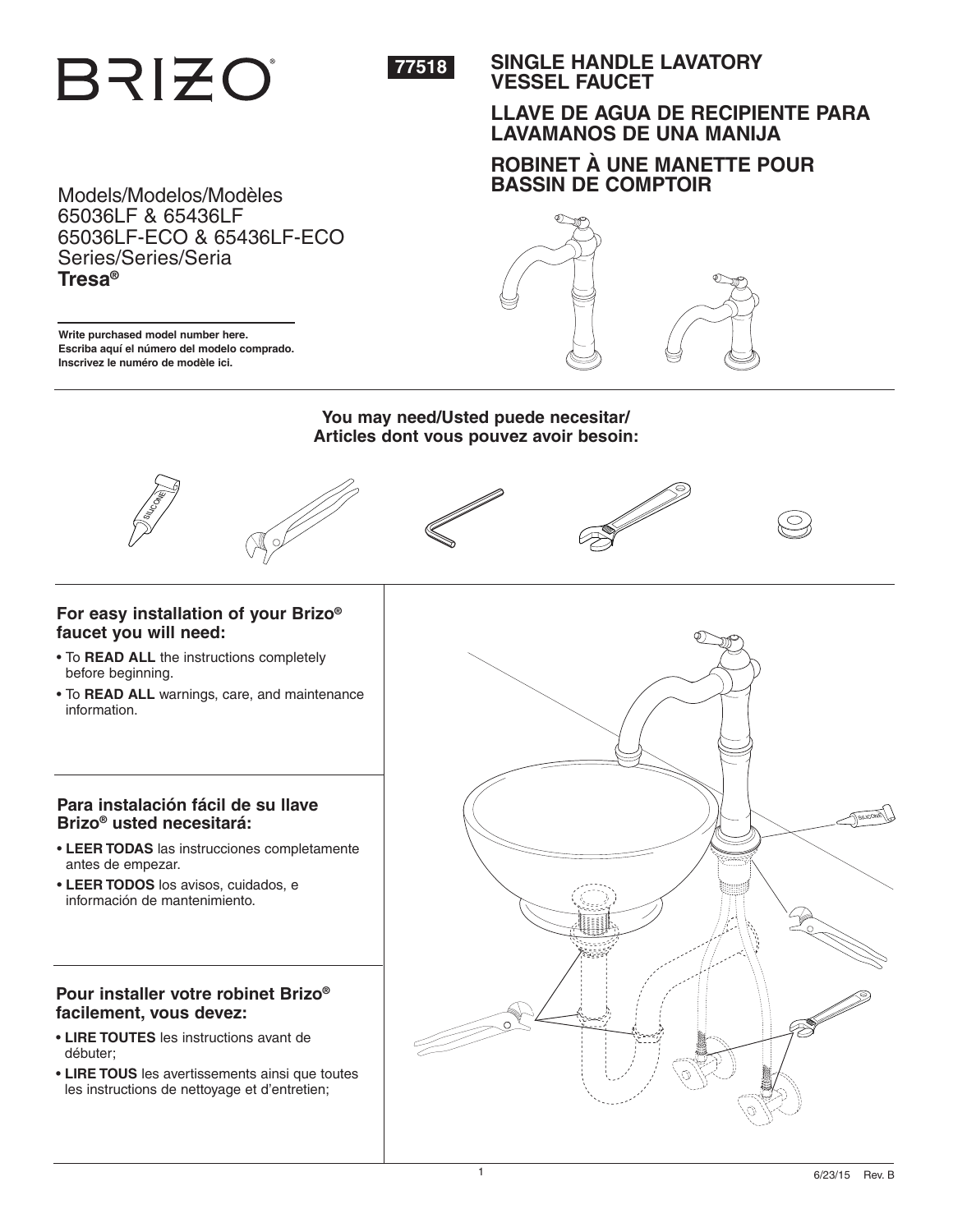**BRIZO** 



**SINGLE HANDLE LAVATORY VESSEL FAUCET**

# **LLAVE DE AGUA DE RECIPIENTE PARA LAVAMANOS DE UNA MANIJA**

# **ROBINET À UNE MANETTE POUR BASSIN DE COMPTOIR**

Models/Modelos/Modèles 65036LF & 65436LF 65036LF-ECO & 65436LF-ECO Series/Series/Seria **Tresa®**

**Write purchased model number here. Escriba aquí el número del modelo comprado. Inscrivez le numéro de modèle ici.**



**You may need/Usted puede necesitar/ Articles dont vous pouvez avoir besoin:**







- To **READ ALL** the instructions completely before beginning.
- To **READ ALL** warnings, care, and maintenance information.

# **Para instalación fácil de su llave Brizo® usted necesitará:**

- **LEER TODAS** las instrucciones completamente antes de empezar.
- **LEER TODOS** los avisos, cuidados, e información de mantenimiento.

# **Pour installer votre robinet Brizo® facilement, vous devez:**

- **LIRE TOUTES** les instructions avant de débuter;
- **LIRE TOUS** les avertissements ainsi que toutes les instructions de nettoyage et d'entretien;

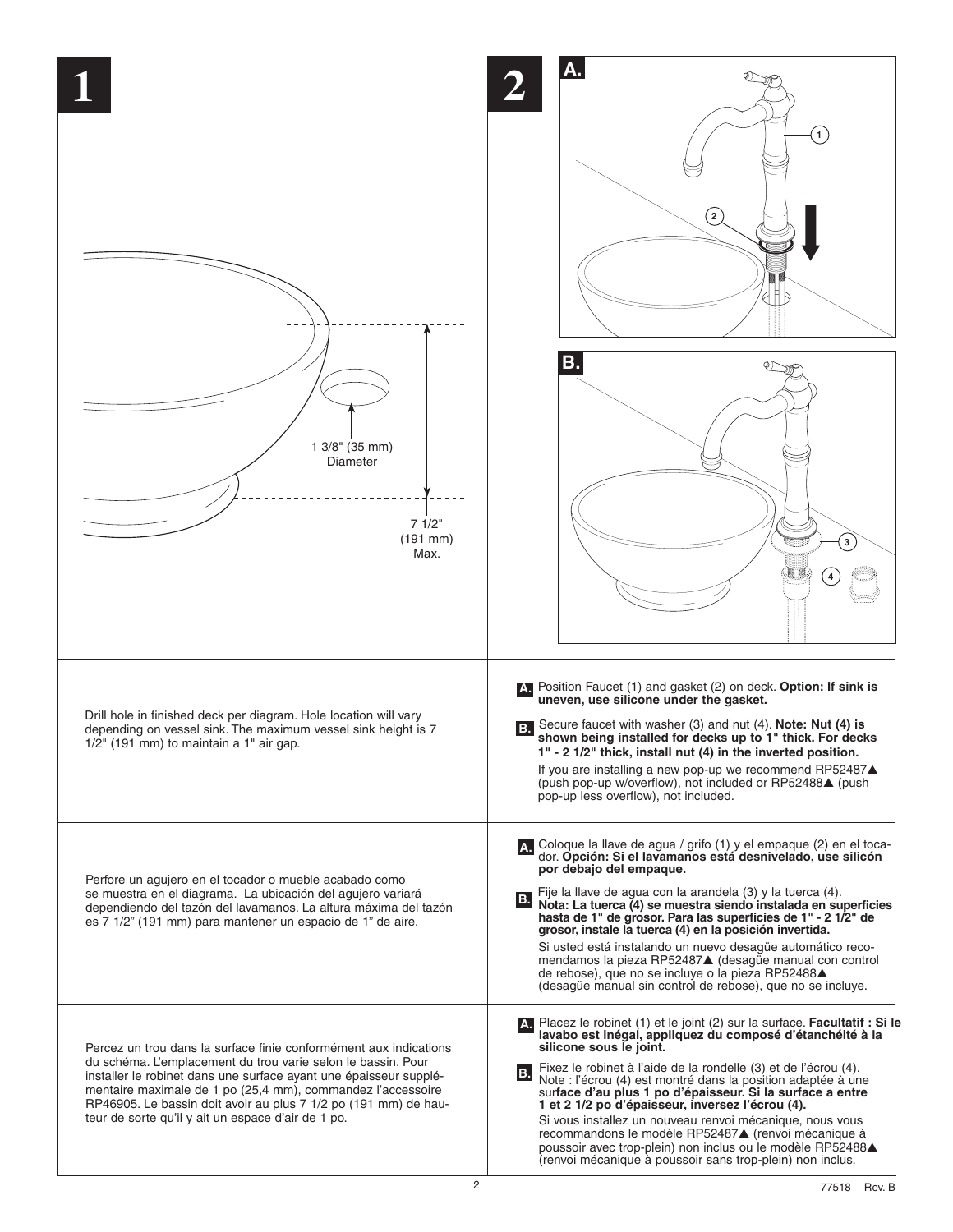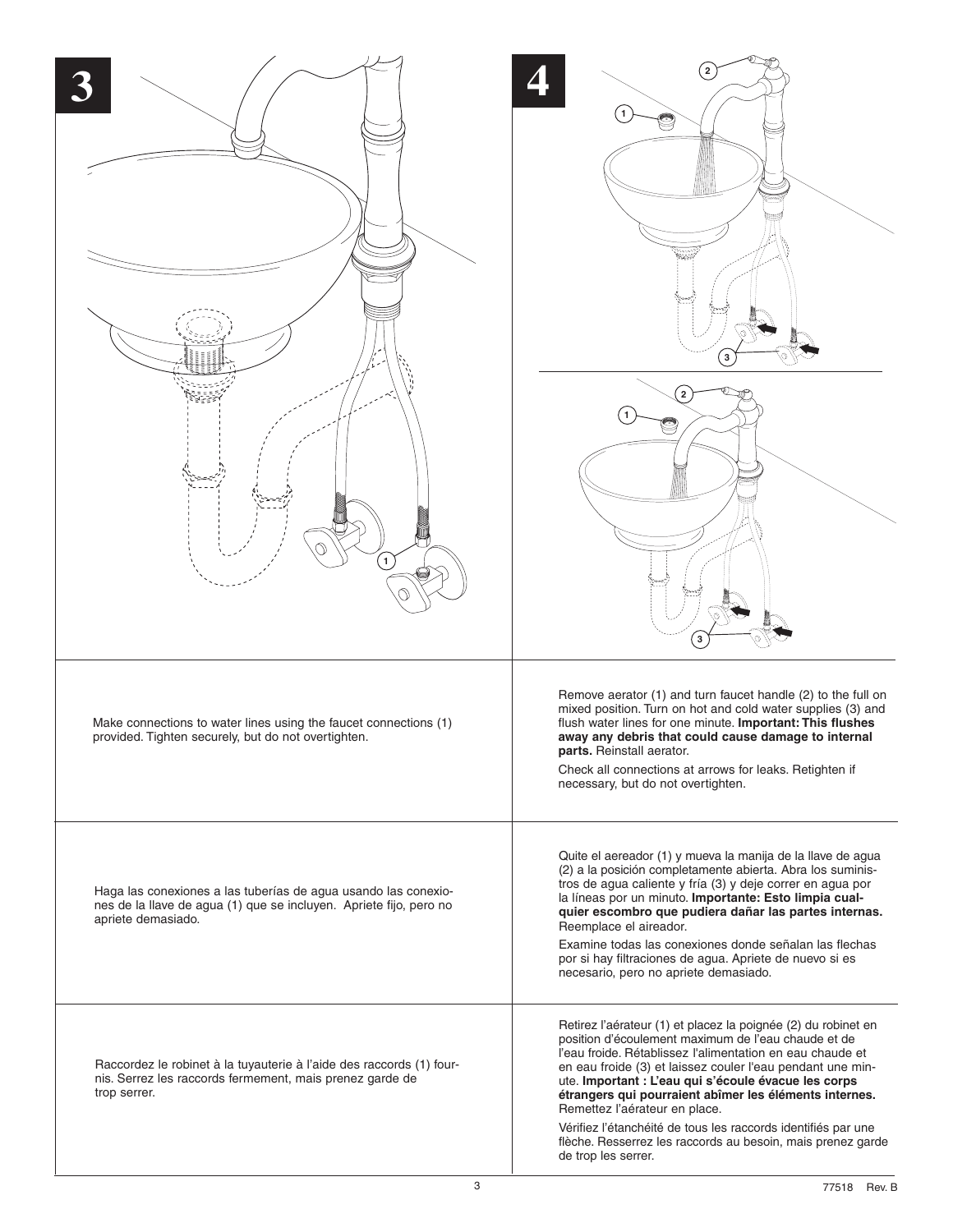| $\mathbf{1}$                                                                                                                                               | $\left( 2\right)$<br>3<br>$\overline{2}$<br>3                                                                                                                                                                                                                                                                                                                                                                                                                                                                                                             |
|------------------------------------------------------------------------------------------------------------------------------------------------------------|-----------------------------------------------------------------------------------------------------------------------------------------------------------------------------------------------------------------------------------------------------------------------------------------------------------------------------------------------------------------------------------------------------------------------------------------------------------------------------------------------------------------------------------------------------------|
| Make connections to water lines using the faucet connections (1)<br>provided. Tighten securely, but do not overtighten.                                    | Remove aerator (1) and turn faucet handle (2) to the full on<br>mixed position. Turn on hot and cold water supplies (3) and<br>flush water lines for one minute. Important: This flushes<br>away any debris that could cause damage to internal<br>parts. Reinstall aerator.<br>Check all connections at arrows for leaks. Retighten if<br>necessary, but do not overtighten.                                                                                                                                                                             |
| Haga las conexiones a las tuberías de agua usando las conexio-<br>nes de la llave de agua (1) que se incluyen. Apriete fijo, pero no<br>apriete demasiado. | Quite el aereador (1) y mueva la manija de la llave de agua<br>(2) a la posición completamente abierta. Abra los suminis-<br>tros de agua caliente y fría (3) y deje correr en agua por<br>la líneas por un minuto. Importante: Esto limpia cual-<br>quier escombro que pudiera dañar las partes internas.<br>Reemplace el aireador.<br>Examine todas las conexiones donde señalan las flechas<br>por si hay filtraciones de agua. Apriete de nuevo si es<br>necesario, pero no apriete demasiado.                                                        |
| Raccordez le robinet à la tuyauterie à l'aide des raccords (1) four-<br>nis. Serrez les raccords fermement, mais prenez garde de<br>trop serrer.           | Retirez l'aérateur (1) et placez la poignée (2) du robinet en<br>position d'écoulement maximum de l'eau chaude et de<br>l'eau froide. Rétablissez l'alimentation en eau chaude et<br>en eau froide (3) et laissez couler l'eau pendant une min-<br>ute. Important : L'eau qui s'écoule évacue les corps<br>étrangers qui pourraient abîmer les éléments internes.<br>Remettez l'aérateur en place.<br>Vérifiez l'étanchéité de tous les raccords identifiés par une<br>flèche. Resserrez les raccords au besoin, mais prenez garde<br>de trop les serrer. |